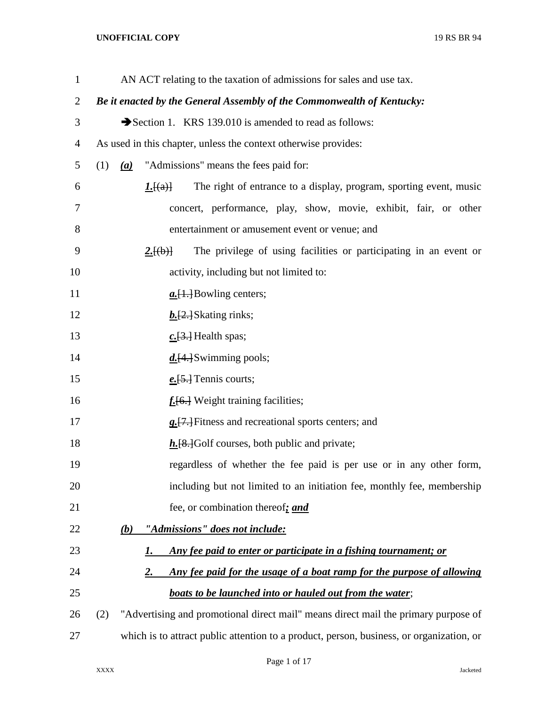## **UNOFFICIAL COPY** 19 RS BR 94

| $\mathbf{1}$   |     |     | AN ACT relating to the taxation of admissions for sales and use tax.                           |
|----------------|-----|-----|------------------------------------------------------------------------------------------------|
| $\overline{2}$ |     |     | Be it enacted by the General Assembly of the Commonwealth of Kentucky:                         |
| 3              |     |     | Section 1. KRS 139.010 is amended to read as follows:                                          |
| $\overline{4}$ |     |     | As used in this chapter, unless the context otherwise provides:                                |
| 5              | (1) |     | (a) "Admissions" means the fees paid for:                                                      |
| 6              |     |     | The right of entrance to a display, program, sporting event, music<br><u><i>I</i>.</u> $\{a\}$ |
| 7              |     |     | concert, performance, play, show, movie, exhibit, fair, or other                               |
| 8              |     |     | entertainment or amusement event or venue; and                                                 |
| 9              |     |     | The privilege of using facilities or participating in an event or<br>2.[(b)]                   |
| 10             |     |     | activity, including but not limited to:                                                        |
| 11             |     |     | $a.\overline{[1.]}$ Bowling centers;                                                           |
| 12             |     |     | $b.$ [2.] Skating rinks;                                                                       |
| 13             |     |     | $c.\overline{[3.]}$ Health spas;                                                               |
| 14             |     |     | $d$ . [4.] Swimming pools;                                                                     |
| 15             |     |     | $e.\overline{[5.]}$ Tennis courts;                                                             |
| 16             |     |     | $fi$ Weight training facilities;                                                               |
| 17             |     |     | <b>g.</b> [7.] Fitness and recreational sports centers; and                                    |
| 18             |     |     | $h$ . [8.] Golf courses, both public and private;                                              |
| 19             |     |     | regardless of whether the fee paid is per use or in any other form,                            |
| 20             |     |     | including but not limited to an initiation fee, monthly fee, membership                        |
| 21             |     |     | fee, or combination thereof; and                                                               |
| 22             |     | (b) | "Admissions" does not include:                                                                 |
| 23             |     |     | Any fee paid to enter or participate in a fishing tournament; or<br><u>I.</u>                  |
| 24             |     |     | Any fee paid for the usage of a boat ramp for the purpose of allowing<br><u>2.</u>             |
| 25             |     |     | boats to be launched into or hauled out from the water;                                        |
| 26             | (2) |     | "Advertising and promotional direct mail" means direct mail the primary purpose of             |
| 27             |     |     | which is to attract public attention to a product, person, business, or organization, or       |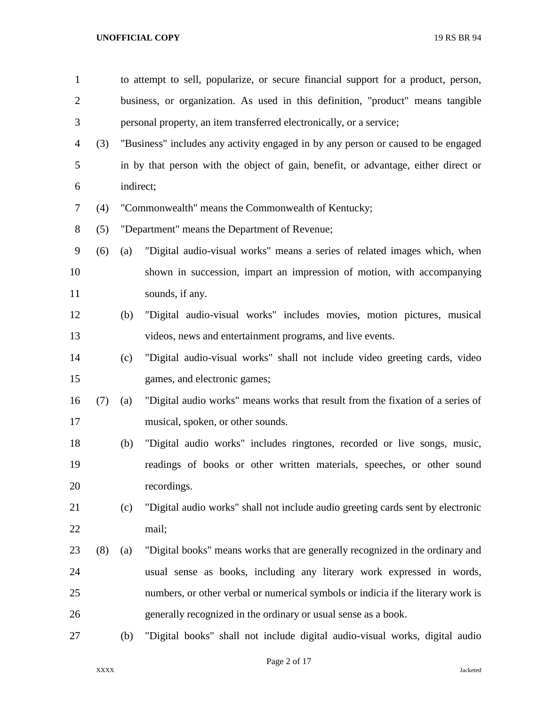| $\mathbf{1}$   |     |           | to attempt to sell, popularize, or secure financial support for a product, person, |  |  |  |  |
|----------------|-----|-----------|------------------------------------------------------------------------------------|--|--|--|--|
| $\overline{2}$ |     |           | business, or organization. As used in this definition, "product" means tangible    |  |  |  |  |
| 3              |     |           | personal property, an item transferred electronically, or a service;               |  |  |  |  |
| 4              | (3) |           | "Business" includes any activity engaged in by any person or caused to be engaged  |  |  |  |  |
| 5              |     |           | in by that person with the object of gain, benefit, or advantage, either direct or |  |  |  |  |
| 6              |     | indirect; |                                                                                    |  |  |  |  |
| 7              | (4) |           | "Commonwealth" means the Commonwealth of Kentucky;                                 |  |  |  |  |
| 8              | (5) |           | "Department" means the Department of Revenue;                                      |  |  |  |  |
| 9              | (6) | (a)       | "Digital audio-visual works" means a series of related images which, when          |  |  |  |  |
| 10             |     |           | shown in succession, impart an impression of motion, with accompanying             |  |  |  |  |
| 11             |     |           | sounds, if any.                                                                    |  |  |  |  |
| 12             |     | (b)       | "Digital audio-visual works" includes movies, motion pictures, musical             |  |  |  |  |
| 13             |     |           | videos, news and entertainment programs, and live events.                          |  |  |  |  |
| 14             |     | (c)       | "Digital audio-visual works" shall not include video greeting cards, video         |  |  |  |  |
| 15             |     |           | games, and electronic games;                                                       |  |  |  |  |
| 16             | (7) | (a)       | "Digital audio works" means works that result from the fixation of a series of     |  |  |  |  |
| 17             |     |           | musical, spoken, or other sounds.                                                  |  |  |  |  |
| 18             |     | (b)       | "Digital audio works" includes ringtones, recorded or live songs, music,           |  |  |  |  |
| 19             |     |           | readings of books or other written materials, speeches, or other sound             |  |  |  |  |
| 20             |     |           | recordings.                                                                        |  |  |  |  |
| 21             |     | (c)       | "Digital audio works" shall not include audio greeting cards sent by electronic    |  |  |  |  |
| 22             |     |           | mail;                                                                              |  |  |  |  |
| 23             | (8) | (a)       | "Digital books" means works that are generally recognized in the ordinary and      |  |  |  |  |
| 24             |     |           | usual sense as books, including any literary work expressed in words,              |  |  |  |  |
| 25             |     |           | numbers, or other verbal or numerical symbols or indicia if the literary work is   |  |  |  |  |
| 26             |     |           | generally recognized in the ordinary or usual sense as a book.                     |  |  |  |  |
| 27             |     | (b)       | "Digital books" shall not include digital audio-visual works, digital audio        |  |  |  |  |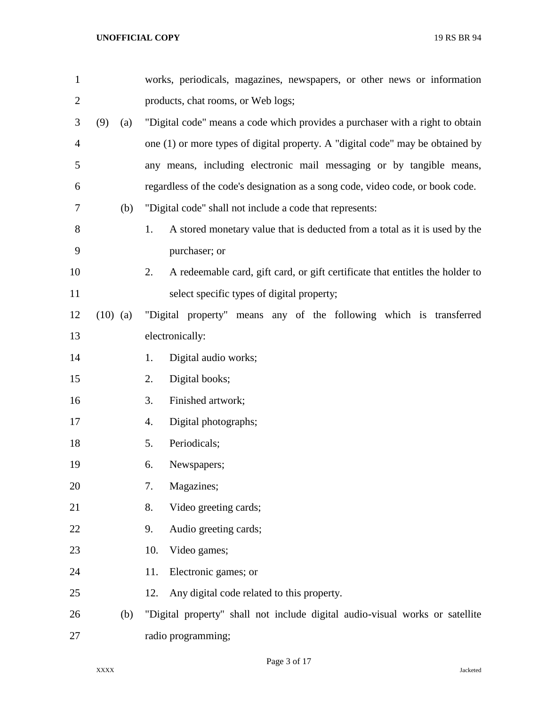| $\mathbf{1}$   |            | works, periodicals, magazines, newspapers, or other news or information             |
|----------------|------------|-------------------------------------------------------------------------------------|
| $\overline{2}$ |            | products, chat rooms, or Web logs;                                                  |
| 3              | (9)<br>(a) | "Digital code" means a code which provides a purchaser with a right to obtain       |
| $\overline{4}$ |            | one (1) or more types of digital property. A "digital code" may be obtained by      |
| 5              |            | any means, including electronic mail messaging or by tangible means,                |
| 6              |            | regardless of the code's designation as a song code, video code, or book code.      |
| 7              | (b)        | "Digital code" shall not include a code that represents:                            |
| 8              |            | 1.<br>A stored monetary value that is deducted from a total as it is used by the    |
| 9              |            | purchaser; or                                                                       |
| 10             |            | A redeemable card, gift card, or gift certificate that entitles the holder to<br>2. |
| 11             |            | select specific types of digital property;                                          |
| 12             | $(10)$ (a) | "Digital property" means any of the following which is transferred                  |
| 13             |            | electronically:                                                                     |
| 14             |            | Digital audio works;<br>1.                                                          |
| 15             |            | Digital books;<br>2.                                                                |
| 16             |            | Finished artwork;<br>3.                                                             |
| 17             |            | Digital photographs;<br>4.                                                          |
| 18             |            | Periodicals;<br>5.                                                                  |
| 19             |            | 6.<br>Newspapers;                                                                   |
| 20             |            | Magazines;<br>7.                                                                    |
| 21             |            | Video greeting cards;<br>8.                                                         |
| 22             |            | Audio greeting cards;<br>9.                                                         |
| 23             |            | Video games;<br>10.                                                                 |
| 24             |            | Electronic games; or<br>11.                                                         |
| 25             |            | Any digital code related to this property.<br>12.                                   |
| 26             | (b)        | "Digital property" shall not include digital audio-visual works or satellite        |
| 27             |            | radio programming;                                                                  |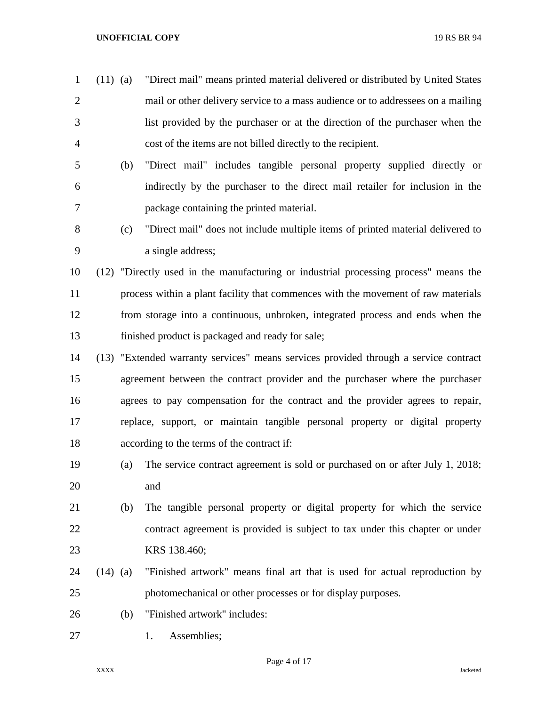**UNOFFICIAL COPY** 19 RS BR 94

- (11) (a) "Direct mail" means printed material delivered or distributed by United States mail or other delivery service to a mass audience or to addressees on a mailing list provided by the purchaser or at the direction of the purchaser when the cost of the items are not billed directly to the recipient.
- (b) "Direct mail" includes tangible personal property supplied directly or indirectly by the purchaser to the direct mail retailer for inclusion in the package containing the printed material.
- (c) "Direct mail" does not include multiple items of printed material delivered to a single address;
- (12) "Directly used in the manufacturing or industrial processing process" means the process within a plant facility that commences with the movement of raw materials from storage into a continuous, unbroken, integrated process and ends when the finished product is packaged and ready for sale;
- (13) "Extended warranty services" means services provided through a service contract agreement between the contract provider and the purchaser where the purchaser agrees to pay compensation for the contract and the provider agrees to repair, replace, support, or maintain tangible personal property or digital property according to the terms of the contract if:
- (a) The service contract agreement is sold or purchased on or after July 1, 2018; and
- (b) The tangible personal property or digital property for which the service contract agreement is provided is subject to tax under this chapter or under KRS 138.460;
- (14) (a) "Finished artwork" means final art that is used for actual reproduction by photomechanical or other processes or for display purposes.
- (b) "Finished artwork" includes:
- 27 1. Assemblies;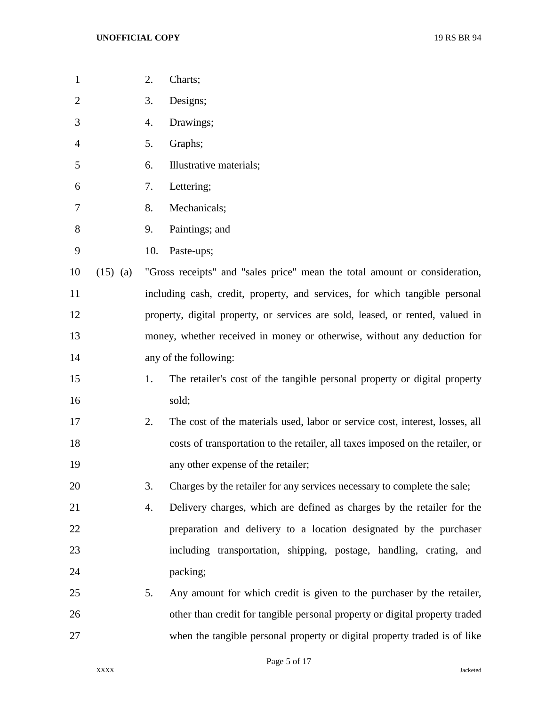| 1              |            | 2.  | Charts;                                                                        |
|----------------|------------|-----|--------------------------------------------------------------------------------|
| $\overline{2}$ |            | 3.  | Designs;                                                                       |
| 3              |            | 4.  | Drawings;                                                                      |
| 4              |            | 5.  | Graphs;                                                                        |
| 5              |            | 6.  | Illustrative materials;                                                        |
| 6              |            | 7.  | Lettering;                                                                     |
| 7              |            | 8.  | Mechanicals;                                                                   |
| 8              |            | 9.  | Paintings; and                                                                 |
| 9              |            | 10. | Paste-ups;                                                                     |
| 10             | $(15)$ (a) |     | "Gross receipts" and "sales price" mean the total amount or consideration,     |
| 11             |            |     | including cash, credit, property, and services, for which tangible personal    |
| 12             |            |     | property, digital property, or services are sold, leased, or rented, valued in |
| 13             |            |     | money, whether received in money or otherwise, without any deduction for       |
| 14             |            |     | any of the following:                                                          |
| 15             |            | 1.  | The retailer's cost of the tangible personal property or digital property      |
| 16             |            |     | sold;                                                                          |
| 17             |            | 2.  | The cost of the materials used, labor or service cost, interest, losses, all   |
| 18             |            |     | costs of transportation to the retailer, all taxes imposed on the retailer, or |
| 19             |            |     | any other expense of the retailer;                                             |
| 20             |            | 3.  | Charges by the retailer for any services necessary to complete the sale;       |
| 21             |            | 4.  | Delivery charges, which are defined as charges by the retailer for the         |
| 22             |            |     | preparation and delivery to a location designated by the purchaser             |
| 23             |            |     | including transportation, shipping, postage, handling, crating, and            |
| 24             |            |     | packing;                                                                       |
| 25             |            | 5.  | Any amount for which credit is given to the purchaser by the retailer,         |
| 26             |            |     | other than credit for tangible personal property or digital property traded    |
| 27             |            |     | when the tangible personal property or digital property traded is of like      |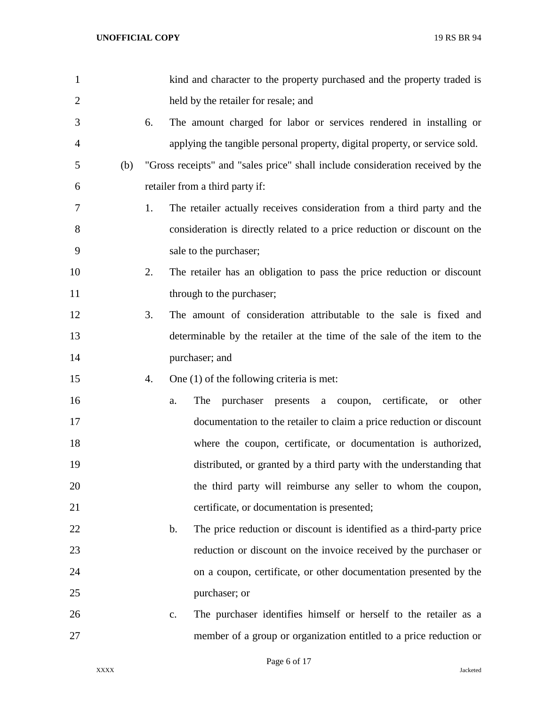| 1              |     |    | kind and character to the property purchased and the property traded is               |
|----------------|-----|----|---------------------------------------------------------------------------------------|
| $\overline{2}$ |     |    | held by the retailer for resale; and                                                  |
| 3              |     | 6. | The amount charged for labor or services rendered in installing or                    |
| 4              |     |    | applying the tangible personal property, digital property, or service sold.           |
| 5              | (b) |    | "Gross receipts" and "sales price" shall include consideration received by the        |
| 6              |     |    | retailer from a third party if:                                                       |
| 7              |     | 1. | The retailer actually receives consideration from a third party and the               |
| 8              |     |    | consideration is directly related to a price reduction or discount on the             |
| 9              |     |    | sale to the purchaser;                                                                |
| 10             |     | 2. | The retailer has an obligation to pass the price reduction or discount                |
| 11             |     |    | through to the purchaser;                                                             |
| 12             |     | 3. | The amount of consideration attributable to the sale is fixed and                     |
| 13             |     |    | determinable by the retailer at the time of the sale of the item to the               |
| 14             |     |    | purchaser; and                                                                        |
| 15             |     | 4. | One $(1)$ of the following criteria is met:                                           |
| 16             |     |    | The<br>purchaser<br>presents a coupon, certificate,<br>other<br>a.<br><b>or</b>       |
| 17             |     |    | documentation to the retailer to claim a price reduction or discount                  |
| 18             |     |    | where the coupon, certificate, or documentation is authorized,                        |
| 19             |     |    | distributed, or granted by a third party with the understanding that                  |
| 20             |     |    | the third party will reimburse any seller to whom the coupon,                         |
| 21             |     |    | certificate, or documentation is presented;                                           |
| 22             |     |    | The price reduction or discount is identified as a third-party price<br>$\mathbf b$ . |
| 23             |     |    | reduction or discount on the invoice received by the purchaser or                     |
| 24             |     |    | on a coupon, certificate, or other documentation presented by the                     |
| 25             |     |    | purchaser; or                                                                         |
| 26             |     |    | The purchaser identifies himself or herself to the retailer as a<br>$\mathbf{c}$ .    |
| 27             |     |    | member of a group or organization entitled to a price reduction or                    |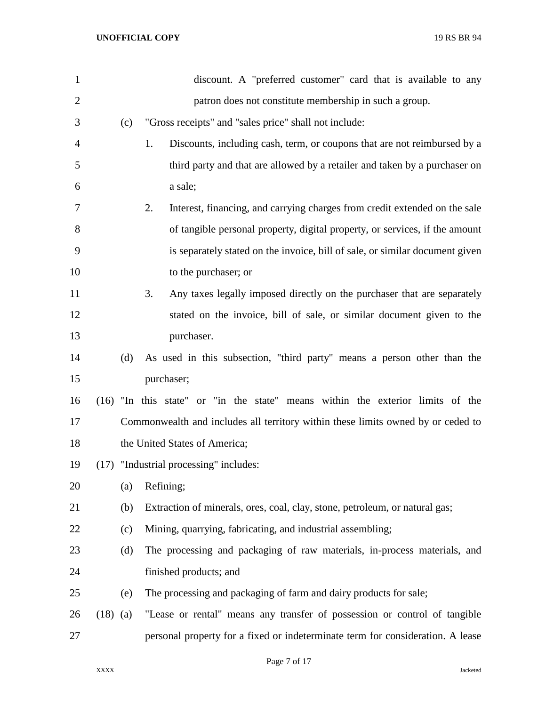| $\mathbf{1}$   |            |     | discount. A "preferred customer" card that is available to any                   |
|----------------|------------|-----|----------------------------------------------------------------------------------|
| $\overline{2}$ |            |     | patron does not constitute membership in such a group.                           |
| 3              |            | (c) | "Gross receipts" and "sales price" shall not include:                            |
| 4              |            |     | 1.<br>Discounts, including cash, term, or coupons that are not reimbursed by a   |
| 5              |            |     | third party and that are allowed by a retailer and taken by a purchaser on       |
| 6              |            |     | a sale;                                                                          |
| 7              |            |     | 2.<br>Interest, financing, and carrying charges from credit extended on the sale |
| 8              |            |     | of tangible personal property, digital property, or services, if the amount      |
| 9              |            |     | is separately stated on the invoice, bill of sale, or similar document given     |
| 10             |            |     | to the purchaser; or                                                             |
| 11             |            |     | 3.<br>Any taxes legally imposed directly on the purchaser that are separately    |
| 12             |            |     | stated on the invoice, bill of sale, or similar document given to the            |
| 13             |            |     | purchaser.                                                                       |
| 14             |            | (d) | As used in this subsection, "third party" means a person other than the          |
| 15             |            |     | purchaser;                                                                       |
| 16             | (16)       |     | "In this state" or "in the state" means within the exterior limits of the        |
| 17             |            |     | Commonwealth and includes all territory within these limits owned by or ceded to |
| 18             |            |     | the United States of America;                                                    |
| 19             |            |     | (17) "Industrial processing" includes:                                           |
| 20             |            | (a) | Refining;                                                                        |
| 21             |            | (b) | Extraction of minerals, ores, coal, clay, stone, petroleum, or natural gas;      |
| 22             |            | (c) | Mining, quarrying, fabricating, and industrial assembling;                       |
| 23             |            | (d) | The processing and packaging of raw materials, in-process materials, and         |
| 24             |            |     | finished products; and                                                           |
| 25             |            | (e) | The processing and packaging of farm and dairy products for sale;                |
| 26             | $(18)$ (a) |     | "Lease or rental" means any transfer of possession or control of tangible        |
| 27             |            |     | personal property for a fixed or indeterminate term for consideration. A lease   |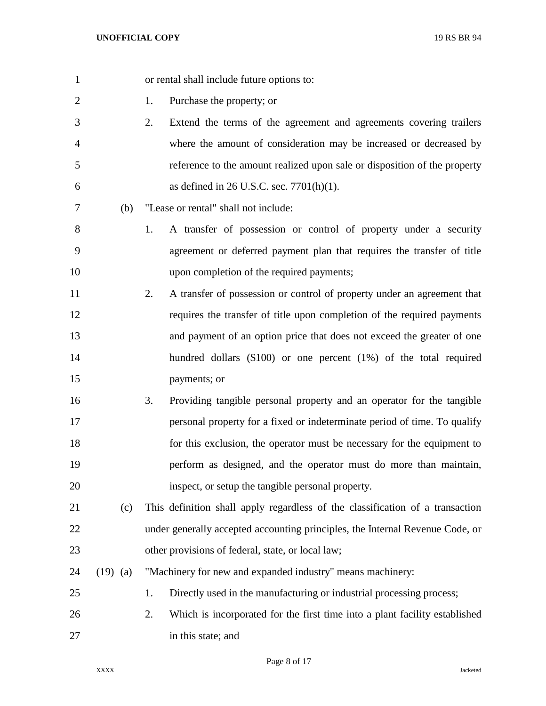| $\mathbf{1}$   |            | or rental shall include future options to:                                       |
|----------------|------------|----------------------------------------------------------------------------------|
| $\overline{2}$ |            | Purchase the property; or<br>1.                                                  |
| 3              |            | 2.<br>Extend the terms of the agreement and agreements covering trailers         |
| $\overline{4}$ |            | where the amount of consideration may be increased or decreased by               |
| 5              |            | reference to the amount realized upon sale or disposition of the property        |
| 6              |            | as defined in 26 U.S.C. sec. $7701(h)(1)$ .                                      |
| 7              | (b)        | "Lease or rental" shall not include:                                             |
| 8              |            | A transfer of possession or control of property under a security<br>1.           |
| 9              |            | agreement or deferred payment plan that requires the transfer of title           |
| 10             |            | upon completion of the required payments;                                        |
| 11             |            | A transfer of possession or control of property under an agreement that<br>2.    |
| 12             |            | requires the transfer of title upon completion of the required payments          |
| 13             |            | and payment of an option price that does not exceed the greater of one           |
| 14             |            | hundred dollars $(\$100)$ or one percent $(1%)$ of the total required            |
| 15             |            | payments; or                                                                     |
| 16             |            | Providing tangible personal property and an operator for the tangible<br>3.      |
| 17             |            | personal property for a fixed or indeterminate period of time. To qualify        |
| 18             |            | for this exclusion, the operator must be necessary for the equipment to          |
| 19             |            | perform as designed, and the operator must do more than maintain,                |
| 20             |            | inspect, or setup the tangible personal property.                                |
| 21             | (c)        | This definition shall apply regardless of the classification of a transaction    |
| 22             |            | under generally accepted accounting principles, the Internal Revenue Code, or    |
| 23             |            | other provisions of federal, state, or local law;                                |
| 24             | $(19)$ (a) | "Machinery for new and expanded industry" means machinery:                       |
| 25             |            | Directly used in the manufacturing or industrial processing process;<br>1.       |
| 26             |            | 2.<br>Which is incorporated for the first time into a plant facility established |
| 27             |            | in this state; and                                                               |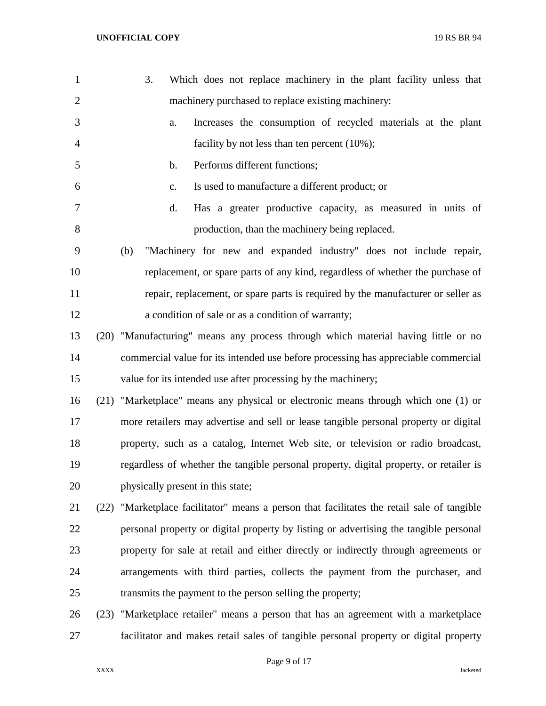| $\mathbf{1}$   |      | Which does not replace machinery in the plant facility unless that<br>3.               |
|----------------|------|----------------------------------------------------------------------------------------|
| $\overline{2}$ |      | machinery purchased to replace existing machinery:                                     |
| 3              |      | Increases the consumption of recycled materials at the plant<br>a.                     |
| $\overline{4}$ |      | facility by not less than ten percent (10%);                                           |
| 5              |      | Performs different functions;<br>$\mathbf b$ .                                         |
| 6              |      | Is used to manufacture a different product; or<br>$C_{\bullet}$                        |
| 7              |      | Has a greater productive capacity, as measured in units of<br>d.                       |
| 8              |      | production, than the machinery being replaced.                                         |
| 9              |      | "Machinery for new and expanded industry" does not include repair,<br>(b)              |
| 10             |      | replacement, or spare parts of any kind, regardless of whether the purchase of         |
| 11             |      | repair, replacement, or spare parts is required by the manufacturer or seller as       |
| 12             |      | a condition of sale or as a condition of warranty;                                     |
| 13             |      | (20) "Manufacturing" means any process through which material having little or no      |
| 14             |      | commercial value for its intended use before processing has appreciable commercial     |
| 15             |      | value for its intended use after processing by the machinery;                          |
| 16             |      | (21) "Marketplace" means any physical or electronic means through which one (1) or     |
| 17             |      | more retailers may advertise and sell or lease tangible personal property or digital   |
| 18             |      | property, such as a catalog, Internet Web site, or television or radio broadcast,      |
| 19             |      | regardless of whether the tangible personal property, digital property, or retailer is |
| 20             |      | physically present in this state;                                                      |
| 21             | (22) | "Marketplace facilitator" means a person that facilitates the retail sale of tangible  |
| 22             |      | personal property or digital property by listing or advertising the tangible personal  |
| 23             |      | property for sale at retail and either directly or indirectly through agreements or    |
| 24             |      | arrangements with third parties, collects the payment from the purchaser, and          |
| 25             |      | transmits the payment to the person selling the property;                              |
| 26             | (23) | "Marketplace retailer" means a person that has an agreement with a marketplace         |
| 27             |      | facilitator and makes retail sales of tangible personal property or digital property   |
|                |      |                                                                                        |

Page 9 of 17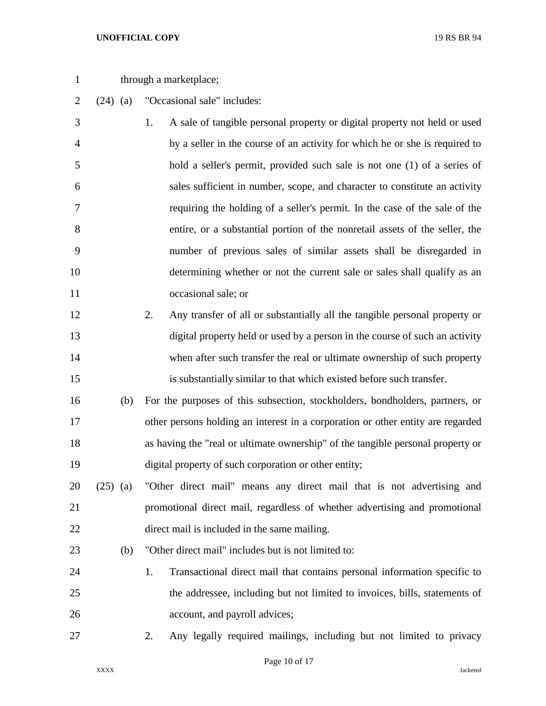## **UNOFFICIAL COPY** 19 RS BR 94

- 1 through a marketplace;
- (24) (a) "Occasional sale" includes:
- 1. A sale of tangible personal property or digital property not held or used by a seller in the course of an activity for which he or she is required to hold a seller's permit, provided such sale is not one (1) of a series of sales sufficient in number, scope, and character to constitute an activity requiring the holding of a seller's permit. In the case of the sale of the entire, or a substantial portion of the nonretail assets of the seller, the number of previous sales of similar assets shall be disregarded in determining whether or not the current sale or sales shall qualify as an occasional sale; or
- 2. Any transfer of all or substantially all the tangible personal property or digital property held or used by a person in the course of such an activity when after such transfer the real or ultimate ownership of such property is substantially similar to that which existed before such transfer.
- (b) For the purposes of this subsection, stockholders, bondholders, partners, or other persons holding an interest in a corporation or other entity are regarded as having the "real or ultimate ownership" of the tangible personal property or digital property of such corporation or other entity;
- (25) (a) "Other direct mail" means any direct mail that is not advertising and promotional direct mail, regardless of whether advertising and promotional direct mail is included in the same mailing.
- (b) "Other direct mail" includes but is not limited to:
- 1. Transactional direct mail that contains personal information specific to the addressee, including but not limited to invoices, bills, statements of account, and payroll advices;
- 

2. Any legally required mailings, including but not limited to privacy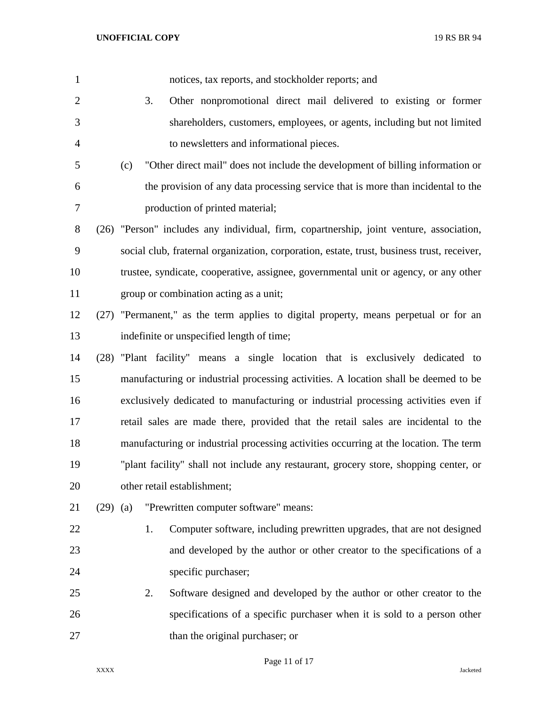| $\mathbf{1}$   |            |     |    | notices, tax reports, and stockholder reports; and                                         |
|----------------|------------|-----|----|--------------------------------------------------------------------------------------------|
| $\overline{2}$ |            |     | 3. | Other nonpromotional direct mail delivered to existing or former                           |
| 3              |            |     |    | shareholders, customers, employees, or agents, including but not limited                   |
| $\overline{4}$ |            |     |    | to newsletters and informational pieces.                                                   |
| 5              |            | (c) |    | "Other direct mail" does not include the development of billing information or             |
| 6              |            |     |    | the provision of any data processing service that is more than incidental to the           |
| 7              |            |     |    | production of printed material;                                                            |
| $8\,$          |            |     |    | (26) "Person" includes any individual, firm, copartnership, joint venture, association,    |
| 9              |            |     |    | social club, fraternal organization, corporation, estate, trust, business trust, receiver, |
| 10             |            |     |    | trustee, syndicate, cooperative, assignee, governmental unit or agency, or any other       |
| 11             |            |     |    | group or combination acting as a unit;                                                     |
| 12             |            |     |    | (27) "Permanent," as the term applies to digital property, means perpetual or for an       |
| 13             |            |     |    | indefinite or unspecified length of time;                                                  |
| 14             |            |     |    | (28) "Plant facility" means a single location that is exclusively dedicated to             |
| 15             |            |     |    | manufacturing or industrial processing activities. A location shall be deemed to be        |
| 16             |            |     |    | exclusively dedicated to manufacturing or industrial processing activities even if         |
| 17             |            |     |    | retail sales are made there, provided that the retail sales are incidental to the          |
| 18             |            |     |    | manufacturing or industrial processing activities occurring at the location. The term      |
| 19             |            |     |    | "plant facility" shall not include any restaurant, grocery store, shopping center, or      |
| 20             |            |     |    | other retail establishment;                                                                |
| 21             | $(29)$ (a) |     |    | "Prewritten computer software" means:                                                      |
| 22             |            |     | 1. | Computer software, including prewritten upgrades, that are not designed                    |
| 23             |            |     |    | and developed by the author or other creator to the specifications of a                    |
| 24             |            |     |    | specific purchaser;                                                                        |
| 25             |            |     | 2. | Software designed and developed by the author or other creator to the                      |
| 26             |            |     |    | specifications of a specific purchaser when it is sold to a person other                   |
| 27             |            |     |    | than the original purchaser; or                                                            |

Page 11 of 17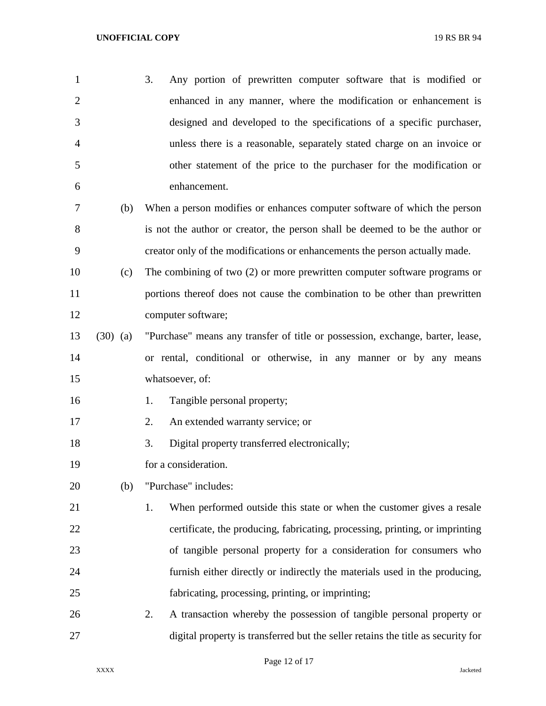| <sup>1</sup>   |     | Any portion of prewritten computer software that is modified or<br>3.    |
|----------------|-----|--------------------------------------------------------------------------|
| 2              |     | enhanced in any manner, where the modification or enhancement is         |
| 3              |     | designed and developed to the specifications of a specific purchaser,    |
| $\overline{4}$ |     | unless there is a reasonable, separately stated charge on an invoice or  |
| .5             |     | other statement of the price to the purchaser for the modification or    |
| 6              |     | enhancement.                                                             |
|                | (b) | When a person modifies or enhances computer software of which the person |

- is not the author or creator, the person shall be deemed to be the author or creator only of the modifications or enhancements the person actually made.
- (c) The combining of two (2) or more prewritten computer software programs or portions thereof does not cause the combination to be other than prewritten computer software;
- (30) (a) "Purchase" means any transfer of title or possession, exchange, barter, lease, or rental, conditional or otherwise, in any manner or by any means whatsoever, of:
- 16 1. Tangible personal property;
- 2. An extended warranty service; or
- 18 3. Digital property transferred electronically;
- for a consideration.
- (b) "Purchase" includes:
- 21 1. When performed outside this state or when the customer gives a resale certificate, the producing, fabricating, processing, printing, or imprinting of tangible personal property for a consideration for consumers who furnish either directly or indirectly the materials used in the producing, fabricating, processing, printing, or imprinting;
- 2. A transaction whereby the possession of tangible personal property or digital property is transferred but the seller retains the title as security for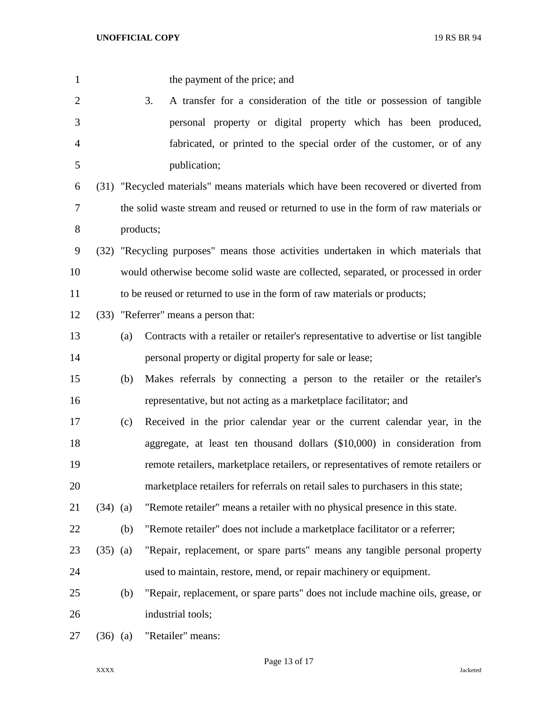| $\mathbf{1}$   |            |     | the payment of the price; and                                                        |
|----------------|------------|-----|--------------------------------------------------------------------------------------|
| $\overline{2}$ |            |     | 3.<br>A transfer for a consideration of the title or possession of tangible          |
| 3              |            |     | personal property or digital property which has been produced,                       |
| $\overline{4}$ |            |     | fabricated, or printed to the special order of the customer, or of any               |
| 5              |            |     | publication;                                                                         |
| 6              |            |     | (31) "Recycled materials" means materials which have been recovered or diverted from |
| 7              |            |     | the solid waste stream and reused or returned to use in the form of raw materials or |
| $8\,$          |            |     | products;                                                                            |
| 9              |            |     | (32) "Recycling purposes" means those activities undertaken in which materials that  |
| 10             |            |     | would otherwise become solid waste are collected, separated, or processed in order   |
| 11             |            |     | to be reused or returned to use in the form of raw materials or products;            |
| 12             |            |     | (33) "Referrer" means a person that:                                                 |
| 13             |            | (a) | Contracts with a retailer or retailer's representative to advertise or list tangible |
| 14             |            |     | personal property or digital property for sale or lease;                             |
| 15             |            | (b) | Makes referrals by connecting a person to the retailer or the retailer's             |
| 16             |            |     | representative, but not acting as a marketplace facilitator; and                     |
| 17             |            | (c) | Received in the prior calendar year or the current calendar year, in the             |
| 18             |            |     | aggregate, at least ten thousand dollars (\$10,000) in consideration from            |
| 19             |            |     | remote retailers, marketplace retailers, or representatives of remote retailers or   |
| 20             |            |     | marketplace retailers for referrals on retail sales to purchasers in this state;     |
| 21             | $(34)$ (a) |     | "Remote retailer" means a retailer with no physical presence in this state.          |
| 22             |            | (b) | "Remote retailer" does not include a marketplace facilitator or a referrer;          |
| 23             | $(35)$ (a) |     | "Repair, replacement, or spare parts" means any tangible personal property           |
| 24             |            |     | used to maintain, restore, mend, or repair machinery or equipment.                   |
| 25             |            | (b) | "Repair, replacement, or spare parts" does not include machine oils, grease, or      |
| 26             |            |     | industrial tools;                                                                    |
| 27             | $(36)$ (a) |     | "Retailer" means:                                                                    |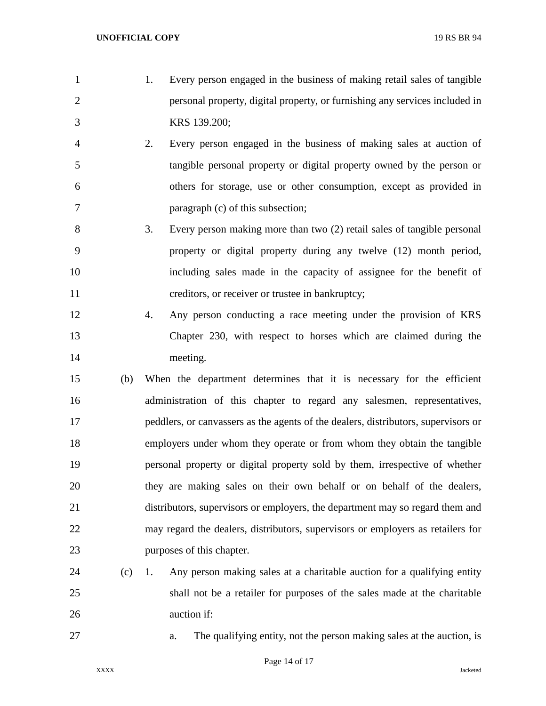- 1. Every person engaged in the business of making retail sales of tangible personal property, digital property, or furnishing any services included in KRS 139.200;
- 2. Every person engaged in the business of making sales at auction of tangible personal property or digital property owned by the person or others for storage, use or other consumption, except as provided in paragraph (c) of this subsection;
- 3. Every person making more than two (2) retail sales of tangible personal property or digital property during any twelve (12) month period, including sales made in the capacity of assignee for the benefit of 11 creditors, or receiver or trustee in bankruptcy;
- 4. Any person conducting a race meeting under the provision of KRS Chapter 230, with respect to horses which are claimed during the meeting.
- (b) When the department determines that it is necessary for the efficient administration of this chapter to regard any salesmen, representatives, peddlers, or canvassers as the agents of the dealers, distributors, supervisors or employers under whom they operate or from whom they obtain the tangible personal property or digital property sold by them, irrespective of whether they are making sales on their own behalf or on behalf of the dealers, distributors, supervisors or employers, the department may so regard them and may regard the dealers, distributors, supervisors or employers as retailers for purposes of this chapter.
- (c) 1. Any person making sales at a charitable auction for a qualifying entity shall not be a retailer for purposes of the sales made at the charitable auction if:
- 

a. The qualifying entity, not the person making sales at the auction, is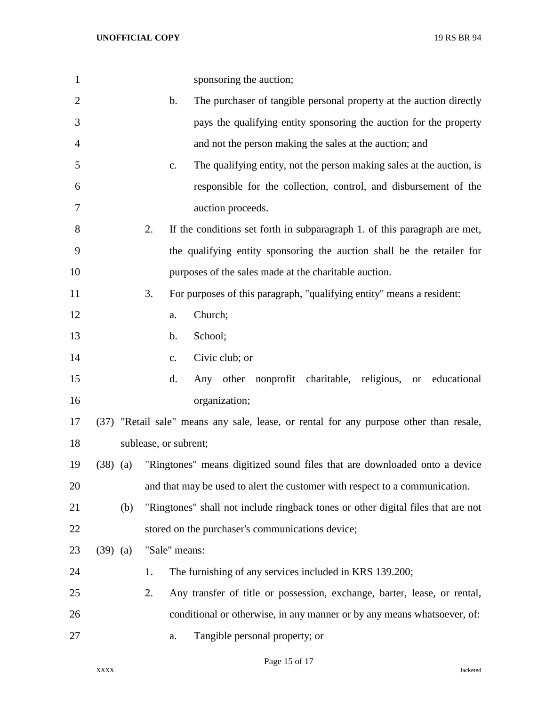| $\mathbf{1}$   |            | sponsoring the auction;                                                                 |
|----------------|------------|-----------------------------------------------------------------------------------------|
| $\overline{2}$ |            | b.<br>The purchaser of tangible personal property at the auction directly               |
| 3              |            | pays the qualifying entity sponsoring the auction for the property                      |
| $\overline{4}$ |            | and not the person making the sales at the auction; and                                 |
| 5              |            | The qualifying entity, not the person making sales at the auction, is<br>$\mathbf{c}$ . |
| 6              |            | responsible for the collection, control, and disbursement of the                        |
| 7              |            | auction proceeds.                                                                       |
| 8              |            | 2.<br>If the conditions set forth in subparagraph 1. of this paragraph are met,         |
| 9              |            | the qualifying entity sponsoring the auction shall be the retailer for                  |
| 10             |            | purposes of the sales made at the charitable auction.                                   |
| 11             |            | 3.<br>For purposes of this paragraph, "qualifying entity" means a resident:             |
| 12             |            | Church;<br>a.                                                                           |
| 13             |            | School;<br>b.                                                                           |
| 14             |            | Civic club; or<br>c.                                                                    |
| 15             |            | Any other nonprofit charitable, religious,<br>d.<br>or educational                      |
| 16             |            | organization;                                                                           |
| 17             |            | (37) "Retail sale" means any sale, lease, or rental for any purpose other than resale,  |
| 18             |            | sublease, or subrent;                                                                   |
| 19             | $(38)$ (a) | "Ringtones" means digitized sound files that are downloaded onto a device               |
| 20             |            | and that may be used to alert the customer with respect to a communication.             |
| 21             | (b)        | "Ringtones" shall not include ringback tones or other digital files that are not        |
| 22             |            | stored on the purchaser's communications device;                                        |
| 23             | $(39)$ (a) | "Sale" means:                                                                           |
| 24             |            | The furnishing of any services included in KRS 139.200;<br>1.                           |
| 25             |            | 2.<br>Any transfer of title or possession, exchange, barter, lease, or rental,          |
| 26             |            | conditional or otherwise, in any manner or by any means whatsoever, of:                 |
| 27             |            | Tangible personal property; or<br>a.                                                    |

Page 15 of 17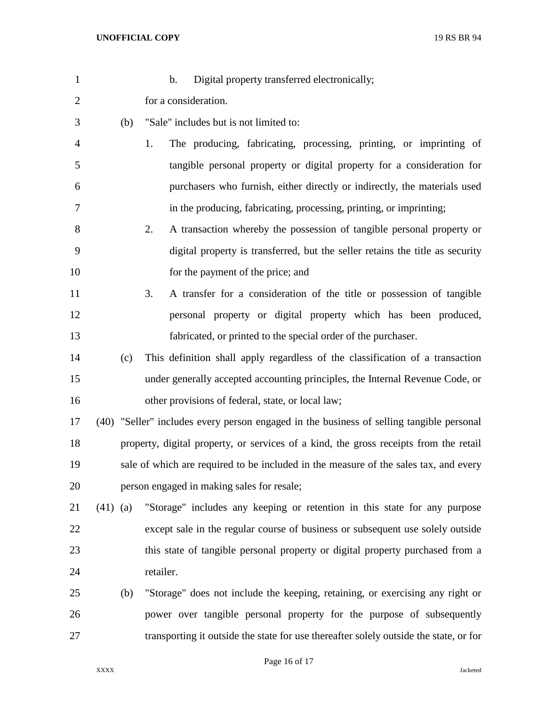| $\mathbf{1}$   |            | $\mathbf b$ .<br>Digital property transferred electronically;                            |
|----------------|------------|------------------------------------------------------------------------------------------|
| $\overline{2}$ |            | for a consideration.                                                                     |
| 3              | (b)        | "Sale" includes but is not limited to:                                                   |
| 4              |            | The producing, fabricating, processing, printing, or imprinting of<br>1.                 |
| 5              |            | tangible personal property or digital property for a consideration for                   |
| 6              |            | purchasers who furnish, either directly or indirectly, the materials used                |
| 7              |            | in the producing, fabricating, processing, printing, or imprinting;                      |
| 8              |            | A transaction whereby the possession of tangible personal property or<br>2.              |
| 9              |            | digital property is transferred, but the seller retains the title as security            |
| 10             |            | for the payment of the price; and                                                        |
| 11             |            | A transfer for a consideration of the title or possession of tangible<br>3.              |
| 12             |            | personal property or digital property which has been produced,                           |
| 13             |            | fabricated, or printed to the special order of the purchaser.                            |
| 14             | (c)        | This definition shall apply regardless of the classification of a transaction            |
| 15             |            | under generally accepted accounting principles, the Internal Revenue Code, or            |
| 16             |            | other provisions of federal, state, or local law;                                        |
| 17             |            | (40) "Seller" includes every person engaged in the business of selling tangible personal |
| 18             |            | property, digital property, or services of a kind, the gross receipts from the retail    |
| 19             |            | sale of which are required to be included in the measure of the sales tax, and every     |
| 20             |            | person engaged in making sales for resale;                                               |
| 21             | $(41)$ (a) | "Storage" includes any keeping or retention in this state for any purpose                |
| 22             |            | except sale in the regular course of business or subsequent use solely outside           |
| 23             |            | this state of tangible personal property or digital property purchased from a            |
| 24             |            | retailer.                                                                                |
| 25             | (b)        | "Storage" does not include the keeping, retaining, or exercising any right or            |
| 26             |            | power over tangible personal property for the purpose of subsequently                    |
| 27             |            | transporting it outside the state for use thereafter solely outside the state, or for    |

Page 16 of 17